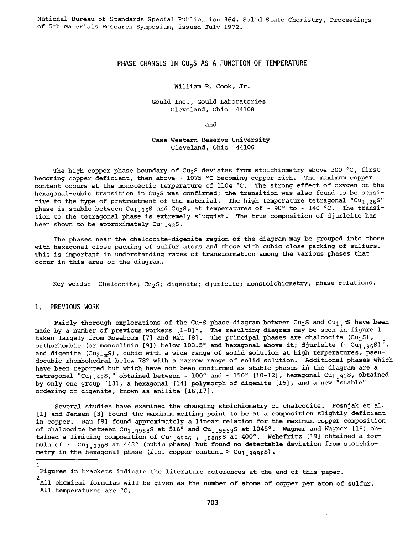# PHASE CHANGES IN CU<sub>2</sub>S AS A FUNCTION OF TEMPERATURE

#### William R. Cook, Jr.

#### Gould Inc., Gould Laboratories Cleveland, Ohio 44108

and

Case Western Reserve University Cleveland, Ohio 44106

The high-copper phase boundary of Cu<sub>2</sub>S deviates from stoichiometry above 300 °C, first becoming copper deficient, then above - <sup>1075</sup>°C becoming copper rich. The maximum copper content occurs at the monotectic temperature of 1104 °C. The strong effect of oxygen on the hexagonal-cubic transition in Cu<sub>2</sub>S was confirmed; the transition was also found to be sensitive to the type of pretreatment of the material. The high temperature tetragonal "Cu<sub>1.96</sub>S" phase is stable between Cu<sub>1.95</sub>S and Cu<sub>2</sub>S, at temperatures of  $\sim$  90° to  $\sim$  140 °C. The transition to the tetragonal phase *is* extremely sluggish. The true composition of djurleite has been shown to be approximately Cu<sub>1.93</sub>S.

The phases near the chalcocite-digenite region of the diagram may be grouped into those with hexagonal close packing of sulfur atoms and those with cubic close packing of sulfurs. This *is* important *in* understanding rates of transformation among the various phases that occur *in* this area of the diagram.

Key words: Chalcocite; Cu<sub>2</sub>S; digenite; djurleite; nonstoichiometry; phase relations.

#### 1. PREVIOUS WORK

l.

Fairly thorough explorations of the Cu-S phase diagram between Cu<sub>2</sub>S and Cu<sub>1</sub>  $\approx$  have been made by a number of previous workers  $[1-8]^1$ . The resulting diagram may be seen in figure 1 taken largely from Roseboom [7] and Rau [8]. The principal phases are chalcocite (Cu<sub>2</sub>S),<br>orthorhombic (or monoclinic [9]) below 103.5° and hexagonal above it; djurleite (~ Cu<sub>l.96</sub>S)<sup>2</sup>, and digenite  $(Cu_{2-x}S)$ , cubic with a wide range of solid solution at high temperatures, pseudocubic rhombohedral below 78° with a narrow range of solid solution. Additional phases which have been reported but which have not been confirmed as stable phases in the diagram are <sup>a</sup> tetragonal "Cu<sub>l.96</sub>S," obtained between - 100° and - 150° [10-12], hexagonal Cu<sub>l.91</sub>S, obtained by only one group [13], a hexagonal [14] polymorph of digenite [15], and a new "stable" ordering of digenite, known as anilite [16,17].

Several studies have examined the changing stoichiometry of chalcocite. Posnjak et al. [1] and Jensen [3] found the maximum melting point to be at a composition slightly deficient *in* copper. Rau [8] found approximately a linear relation for the maximum copper composition of chalcocite between  $cu_1$  9988s at 516° and  $cu_1$  9939s at 1048°. Wagner and Wagner [18] obtained a limiting composition of Cu<sub>l.9996</sub>  $_+$  .0002S at 400°. Wehefritz [19] obtained a formula of ~ Cu<sub>1.998</sub>S at 443° (cubic phase) but found no detectable deviation from stoichiometry *in* the hexagonal phase *(i.e.* copper content> Cul.999as).

Figures in brackets indicate the literature references at the end of this paper.

<sup>2</sup>  All chemical formulas will be given as the number of atoms of copper per atom of sulfur. All temperatures are °C.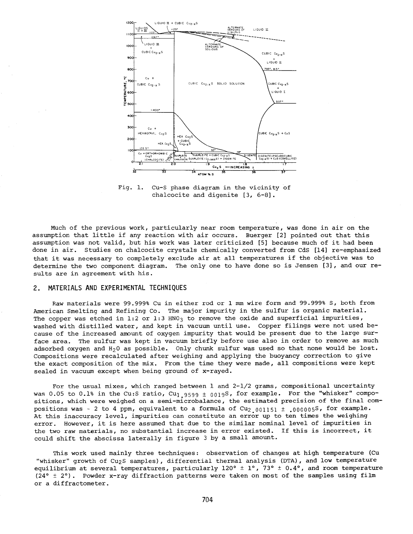

Fig. 1. Cu-S phase diagram in the vicinity of chalcocite and digenite [3, 6-8].

Much of the previous work, particularly near room temperature, was done in air on the assumption that little if any reaction with air occurs. Buerger [2] pointed out that this assumption was not valid, but his work was later criticized [5] because much of it had been done in air. Studies on chalcocite crystals chemically converted from CdS [14] re-emphasized that it was necessary to completely exclude air at all temperatures if the objective was to determine the two component diagram. The only one to have done so is Jensen [3], and our results are in agreement with his.

### 2. MATERIALS AND EXPERIMENTAL TECHNIQUES

Raw materials were 99.999% Cu in either rod or 1 mm wire form and 99.999% S, both from American Smelting and Refining Co. The major impurity in the sulfur is organic material. The copper was etched in 1:2 or 1:3 HNO<sub>3</sub> to remove the oxide and superficial impurities, washed with distilled water, and kept in vacuum until use. Copper filings were not used because of the increased amount of oxygen impurity that would be present due to the large surface area. The sulfur was kept in vacuum briefly before use also in order to remove as much adsorbed oxygen and  $H_20$  as possible. Only chunk sulfur was used so that none would be lost. Compositions were recalculated after weighing and applying the buoyancy correction to give the exact composition of the mix. From the time they were made, all compositions were kept sealed in vacuum except when being ground of x-rayed.

For the usual mixes, which ranged between 1 and 2-1/2 grams, compositional uncertainty was 0.05 to 0.1% in the Cu:S ratio, Cu<sub>1.9599</sub>  $\pm$  0019S, for example. For the "whisker" compositions, which were weighed on a semi-microbalance, the estimated precision of the final compositions was  $\sim$  2 to 4 ppm, equivalent to a formula of Cu<sub>2</sub> 001151  $\pm$  .0000058, for example. At this inaccuracy level, impurities can constitute an error up to ten times the weighing error. However, it is here assumed that due to the similar nominal level of impurities in the two raw materials, no substantial increase in error existed. If this is incorrect, it could shift the abscissa laterally in figure 3 by a small amount.

This work used mainly three techniques: observation of changes at high temperature (Cu "whisker" growth of Cu2s samples), differential thermal analysis (DTA), and low temperature equilibrium at several temperatures, particularly 120°  $\pm$  1°, 73°  $\pm$  0.4°, and room temperature (24°  $\pm$  2°). Powder x-ray diffraction patterns were taken on most of the samples using film or <sup>a</sup>diffractometer.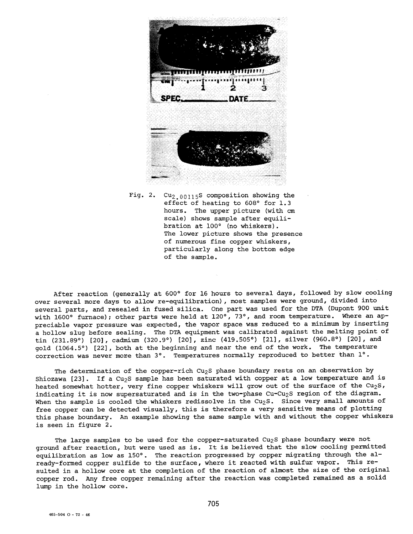

Fig. 2.  $Cu_{2.00115}S$  composition showing the effect of heating to 608° for 1.3 hours. The upper picture (with em scale) shows sample after equilibration at 100° (no whiskers). The lower picture shows the presence of numerous fine copper whiskers, particularly along the bottom edge of the sample.

After reaction (generally at 600° for 16 hours to several days, followed by slow cooling over several more days to allow re-equilibration) , most samples were ground, divided into several parts, and resealed in fused silica. One part was used for the DTA (Dupont 900 unit with 1600° furnace); other parts were held at 120°, 73°, and room temperature. Where an appreciable vapor pressure was expected, the vapor space was reduced to a minimum by inserting <sup>a</sup>hollow slug before sealing. The DTA equipment was calibrated against the melting point of tin (231.89°) [20], cadmium (320.9°) [20], zinc (419.505°) [21], silver (960.8°) [20], and gold (1064.5°) [22], both at the beginning and near the end of the work. The temperature correction was never more than 3°. Temperatures normally reproduced to better than 1°.

The determination of the copper-rich Cu<sub>2</sub>S phase boundary rests on an observation by Shiozawa [23]. If a Cu<sub>2</sub>S sample has been saturated with copper at a low temperature and is heated somewhat hotter, very fine copper whiskers will grow out of the surface of the  $Cu_2S$ , indicating it is now supersaturated and is in the two-phase Cu-Cu<sub>2</sub>S region of the diagram. When the sample is cooled the whiskers redissolve in the Cu<sub>2</sub>S. Since very small amounts of free copper can be detected visually, this is therefore a very sensitive means of plotting this phase boundary. An example showing the same sample with and without the copper whiskers is seen in figure 2.

The large samples to be used for the copper-saturated Cu<sub>2</sub>S phase boundary were not ground after reaction, but were used as is. It is believed that the slow cooling permitted equilibration as low as 150°. The reaction progressed by copper migrating through the already-formed copper sulfide to the surface, where it reacted with sulfur vapor. This resulted in a hollow core at the completion of the reaction of almost the size of the original copper rod. Any free copper remaining after the reaction was completed remained as a solid lump in the hollow core.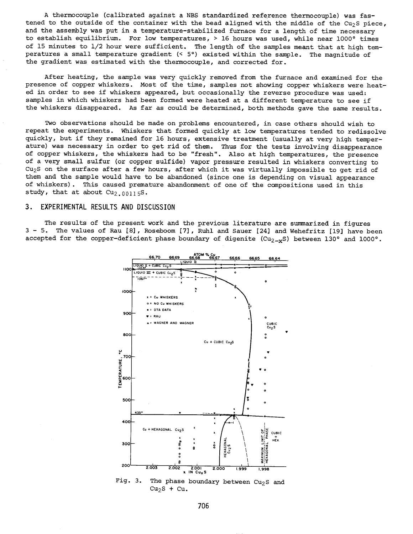A thermocouple (calibrated against a NBS standardized reference thermocouple) was fastened to the outside of the container with the bead aligned with the middle of the Cu<sub>2</sub>S piece, and the assembly was put in a temperature-stabilized furnace for a length of time necessary to establish equilibrium. For low temperatures, > 16 hours was used, while near 1000° times of 15 minutes to 1/2 hour were sufficient. The length of the samples meant that at high temperatures a small temperature gradient (< 5°) existed within the sample. The magnitude of the gradient was estimated with the thermocouple, and corrected for.

After heating, the sample was very quickly removed from the furnace and examined for the presence of copper whiskers. Most of the time, samples not showing copper whiskers were heated in order to see if whiskers appeared, but occasionally the reverse procedure was used: samples in which whiskers had been formed were heated at a different temperature to see if the whiskers disappeared. As far as could be determined, both methods gave the same results.

Two observations should be made on problems encountered, in case others should wish to repeat the experiments. Whiskers that formed quickly at low temperatures tended to redissolve quickly, but if they remained for 16 hours, extensive treatment (usually at very high temperature) was necessary in order to get rid of them. Thus for the tests involving disappearance of copper whiskers, the whiskers had to be "fresh". Also at high temperatures, the presence of <sup>a</sup>very small sulfur (or copper sulfide) vapor pressure resulted in whiskers converting to Cu<sub>2</sub>S on the surface after a few hours, after which it was virtually impossible to get rid of them and the sample would have to be abandoned (since one is depending on visual appearance of whiskers) . This caused premature abandonment of one of the compositions used *in* this study, that at about  $Cu_{2.00115}S$ .

## 3. EXPERIMENTAL RESULTS AND DISCUSSION

The results of the present work and the previous literature are summarized in figures 3 - 5. The values of Rau [8], Roseboom [7], Ruhl and Sauer [24] and Wehefritz [19] have been accepted for the copper-deficient phase boundary of digenite  $(Cu_{2-x}S)$  between 130° and 1000°.



706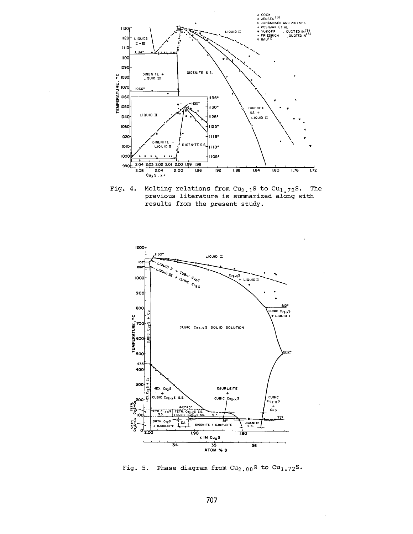

Fig. 4. Melting relations from  $cu_{2-1}s$  to  $cu_{1-72}s$ . The Melting relations from  $Cu_{2,1}S$  to  $Cu_{1,72}S$ . The previous literature is summarized along with results from the present study.



Fig. 5. Phase diagram from  $Cu_{2.00}$ S to  $Cu_{1.72}$ S.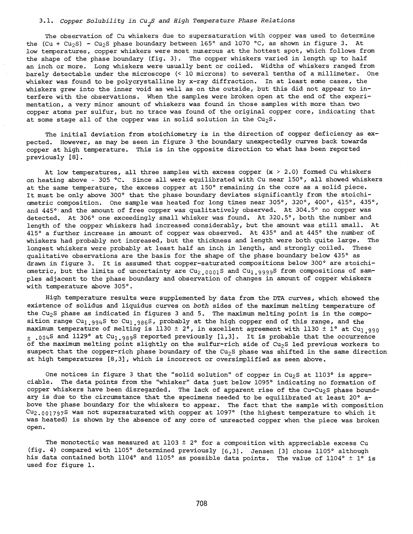# 3.1. *Copper Solubility in cu2<sup>s</sup>and High Temperature Phase Relations*

The observation of Cu whiskers due to supersaturation with copper was used to determine the (Cu + Cu<sub>2</sub>S) - Cu<sub>2</sub>S phase boundary between 165° and 1070 °C, as shown in figure 3. At low temperatures, copper whiskers were most nun.erous at the hottest spot, which follows from the shape of the phase boundary (fig. 3). The copper whiskers varied in length up to half an inch or more. Long whiskers were usually bent or coiled. Widths of whiskers ranged from barely detectable under the microscope (< 10 microns) to several tenths of a millimeter. One whisker was found to be polycrystalline by x-ray diffraction. In at least same cases, the whiskers grew into the inner void as well as on the outside, but this did not appear to interfere with the observations. When the samples were broken open at the end of the experimentation, a very minor amount of whiskers was found in those samples with more than two copper atoms per sulfur, but no trace was found of the original copper core, indicating that at some stage all of the copper was in solid solution in the  $Cu_2S$ .

The initial deviation from stoichiometry is in the direction of copper deficiency as  $ex$ pected. However, as may be seen in figure 3 the boundary unexpectedly curves back towards copper at high temperature. This is in the opposite direction to what has been reported previously [8].

At low temperatures, all three samples with excess copper  $(x > 2.0)$  formed Cu whiskers on heating above  $\sim 305$  °C. Since all were equilibrated with Cu near 150°, all showed whiskers at the same temperature, the excess copper at 150° remaining in the core as <sup>a</sup>solid piece. It must be only above 300° that the phase boundary deviates significantly from the stoichiometric composition. One sample was heated for long times near 305°, 320°, 400°, 415°, 435°, and 445°'and the amount of free copper was qualitatively observed. At 304.5° no copper was detected. At 306° one exceedingly small whisker was found. At 320.5°, both the number and length of the copper whiskers had increased considerably, but the amount was still small. At 415° a further increase in amount of copper was observed. At 435° and at 445° the number of whiskers had probably not increased, but the thickness and length were both quite large. The longest whiskers were probably at least half an inch in length, and strongly coiled. These qualitative observations are the basis for the shape of the phase boundary below 435° as drawn in figure 3. It is assumed that copper-saturated compositions below 300° are stoichiometric, but the limits of uncertainty are  $Cu_{2.0001}$ S and  $Cu_{1.9999}$ S from compositions of sam<sup>p</sup>les adjacent to the phase boundary and observation of changes in amount of copper whiskers with temperature above 305°.

High temperature results were supplemented by data from the DTA curves, which showed the existence of solidus and liquidus curves on *both* sides of the maximum melting temperature of the Cu<sub>2</sub>S phase as indicated in figures 3 and 5. The maximum melting point is in the composition range Cu<sub>l.994</sub>S to Cu<sub>l.986</sub>S, probably at the high copper end of this range, and the maximum temperature of melting is 1130  $\pm$  2°, in excellent agreement with 1130  $\pm$  1° at Cu<sub>1990</sub>  $_{+}$  .004S and 1129° at Cu<sub>l.989</sub>S reported previously [1,3]. It is probable that the occurrence of the maximum melting point slightly on the sulfur-rich side of  $Cu<sub>2</sub>S$  led previous workers to suspect that the copper-rich phase boundary of the Cu<sub>2</sub>S phase was shifted in the same direction at high temperatures [8,3], which is incorrect or oversimplified as seen above.

One notices in figure 3 that the "solid solution" of copper in Cu<sub>2</sub>S at  $1103^\circ$  is appreciable. The data points from the "whisker" data just below 1095° indicating no formation of copper whiskers have been disregarded. The lack of apparent rise of the Cu-Cu<sub>2</sub>S phase boundary is due to the circumstance that the specimens needed to be equilibrated at least 20° above the phase boundary for the whiskers to appear. The fact that the sample with composition  $Cu_{2.001797}$ S was not supersaturated with copper at 1097° (the highest temperature to which it was heated) is shown by the absence of any core of unreacted copper when the piece was broken open.

The monotectic was measured at 1103  $\pm$  2° for a composition with appreciable excess Cu (fig. 4) compared with 1105° determined previously [6,3]. Jensen [3] chose 1105° although his data contained both 1104° and 1105° as possible data points. The value of 1104° ± 1° is used for figure 1.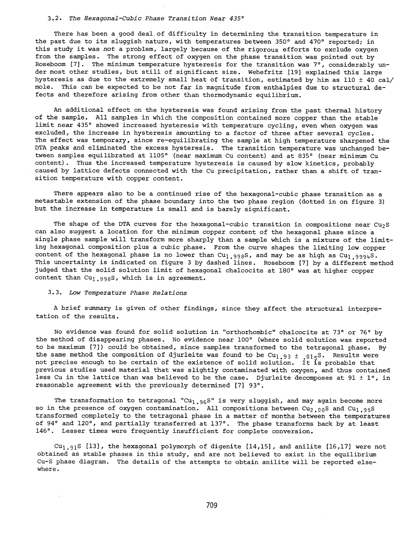#### 3.2. *The Hexagonal-Cubic Phase Transition Near 435°*

There has been a good deal of difficulty in determining the transition temperature in the past due to its sluggish nature, with temperatures between 350° and 470° reported; in this study it was *not* <sup>a</sup>problem, largely because of the rigorous efforts to exclude oxygen from the samples. The strong effect of oxygen on the phase transition was pointed out by Roseboom [7]. The minimum temperature hysteresis for the transition was 7°, considerably under most other studies, but still of significant size. Wehefritz [19] explained this large hysteresis as due to the extremely small heat of transition, estimated by him as 110  $\pm$  40 cal/ mole. This can be expected to be not far in magnitude from enthalpies due to structural defects and therefore arising from other than thermodynamic equilibrium.

An additional effect on the hysteresis was found arising from the past thermal history of the sample. All samples in which the composition contained more copper than the stable limit near 435° showed increased hysteresis with temperature cycling, even when oxygen was excluded, the increase in hysteresis amounting to a factor of three after several cycles. The effect was temporary, since re-equilibrating the sample at high temperature sharpened the DTA peaks and eliminated the excess hysteresis. The transition temperature was unchanged between samples equilibrated at 1105° (near maximum Cu content) and at 835° (near minimum Cu content). Thus the increased temperature hysteresis is caused by slow kinetics, probably caused by lattice defects connected with the Cu precipitation, rather than a shift of transition temperature with copper content.

There appears also to be a continued rise of the hexagonal-cubic phase transition as <sup>a</sup> metastable extension of the phase boundary into the two phase region (dotted in on figure 3) but the increase in temperature is small and is barely significant.

The shape of the DTA curves for the hexagonal-cubic transition in compositions near  $Cu<sub>2</sub>S$ can also suggest a location for the minimum copper content of the hexagonal phase since <sup>a</sup> single phase sample will transform more sharply than a sample which is a mixture of the limiting hexagonal composition plus a cubic phase. From the curve shapes the limiting low copper content of the hexagonal phase is no lower than  $Cu<sub>1.998</sub>S$ , and may be as high as  $Cu<sub>1.9994</sub>S$ . This uncertainty is indicated on figure 3 by dashed lines. Roseboom [7] by a different method judged that the solid solution limit of hexagonal chalcocite at 180° was at higher copper content than  $Cu<sub>1.998</sub>S$ , which is in agreement.

# 3. 3. *Low Temperature Phase Relations*

<sup>A</sup>brief summary is given of other findings, since they affect the structural interpretation of the results.

No evidence was found for solid solution in "orthorhombic" chalcocite at 73° or 76° by the method of disappearing phases. No evidence near 100° (where solid solution was reported to be maximum [7]) could be obtained, since samples transformed to the tetragonal phase. By the same method the composition of djurleite was found to be Cu<sub>l.93  $\pm$  .015</sub>S. Results were not precise enough to be certain of the existence of solid solution. It is probable that previous studies used material that was slightly contaminated with oxygen, and thus contained less Cu in the lattice than was believed to be the case. Djurleite decomposes at 91  $\pm$  1°, in reasonable agreement with the previously determined [7] 93°.

The transformation to tetragonal "Cu<sub>l.96</sub>S" is very sluggish, and may again become more so in the presence of oxygen contamination. All compositions between  $Cu_{2.00}S$  and  $Cu_{1.95}S$ transformed completely to the tetragonal phase in a matter of months between the temperatures of 94° and 120°, and partially transferred at 137°. The phase transforms back by at least 146°. Lesser times were frequently insufficient for complete conversion.

Cu<sub>1.91</sub>S [13], the hexagonal polymorph of digenite  $[14,15]$ , and anilite [16,17] were not obtained as stable phases in this study, and are not believed to exist in the equilibrium Cu-S phase diagram. The details of the attempts to obtain anilite will be reported elsewhere.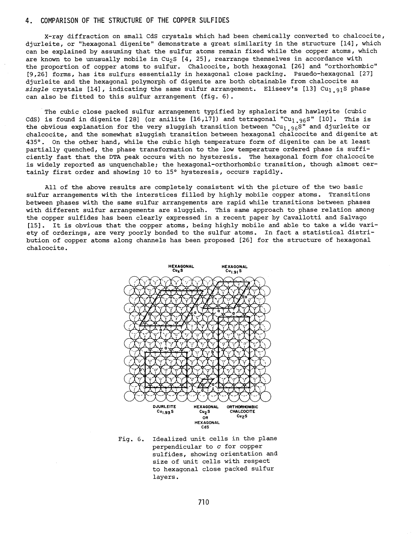# 4. COMPARISON OF THE STRUCTURE OF THE COPPER SULFIDES

X-ray diffraction on small CdS crystals which had been chemically converted to chalcocite, djurleite, or "hexagonal digenite" demonstrate a great similarity in the structure [14], which can be explained by assuming that the sulfur atoms remain fixed while the copper atoms, which are known to be unusually mobile in Cu<sub>2</sub>S [4, 25], rearrange themselves in accordance with the proportion of copper atoms to sulfur. Chalcocite, both hexagonal [26] and "orthorhombic" [9,26] forms, has its sulfurs essentially in hexagonal close packing. Psuedo-hexagonal [27] djurleite and the hexagonal polymorph of digenite are both obtainable from chalcocite as *single* crystals [14], indicating the same sulfur arrangement. Eliseev's [13] Cu1.91S phase can also be fitted to this sulfur arrangement (fig. 6).

The cubic close packed sulfur arrangement typified by sphalerite and hawleyite (cubic CdS) is found in digenite [28] (or anilite  $[16,17]$ ) and tetragonal "Cu<sub>l.96</sub>S"  $[10]$ . This is the obvious explanation for the very sluggish transition between "Cu<sub>1.96</sub>S" and djurleite or chalcocite, and the somewhat sluggish transition between hexagonal chalcocite and digenite at 435°. On the other hand, while the cubic high temperature form of digenite can be at least partially quenched, the phase transformation to the low temperature ordered phase is sufficiently fast that the DTA peak occurs with no hysteresis. The hexagonal form for chalcocite is widely reported as unquenchable; the hexagonal-orthorhombic transition, though almost certainly first order and showing 10 to 15° hysteresis, occurs rapidly.

All of the above results are completely consistent with the picture of the two basic sulfur arrangements with the interstices filled by highly mobile copper atoms. Transitions between phases with the same sulfur arrangements are rapid while transitions between phases with different sulfur arrangements are sluggish. This same approach to phase relation among the copper sulfides has been clearly expressed in a recent paper by Cavallotti and Salvago [15]. It is obvious that the copper atoms, being highly mobile and able to take a wide variety of orderings, are very poorly bonded to the sulfur atoms. In fact a statistical distribution of copper atoms along channels has been proposed [26] for the structure of hexagonal chalcocite.



Fig. 6. Idealized unit cells in the plane perpendicular to *c* for copper sulfides, showing orientation and size of unit cells with respec<sup>t</sup> to hexagonal close packed sulfur layers.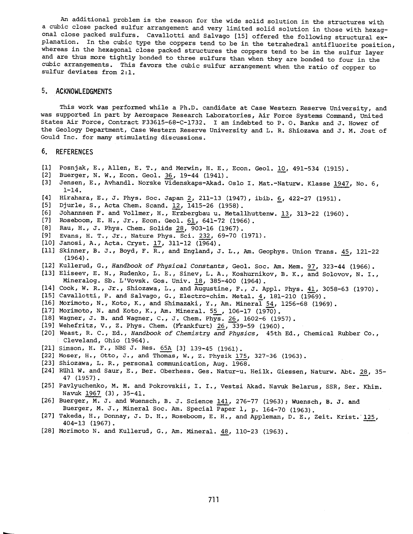An additional problem is the reason for the wide solid solution in the structures with <sup>a</sup>cubic close packed sulfur arrangement and very limited solid solution in those with hexagonal close packed sulfurs. Cavallotti and Salvago [15] offered the following structural explanation. In the cubic type the coppers tend to be in the tetrahedral antifluorite position, whereas in the hexagonal close packed structures the coppers tend to be in the sulfur layer and are thus more tightly bonded to three sulfurs than when they are bonded to four in the cubic arrangements. This favors the cubic sulfur arrangement when the ratio of copper to sulfur deviates from 2:1.

## 5. **ACKNOWLEDGMENTS**

This work was performed while a Ph.D. candidate at Case Western Reserve University, and was supported in part by Aerospace Research Laboratories, Air Force Systems Command, United States Air Force, Contract F33615-68-C-1732. I am indebted to P. O. Banks and J. Hower of the Geology Department, Case Western Reserve University and L. R. Shiozawa and J. M. Jost of Gould Inc. for many stimulating discussions.

# **6. REFERENCES**

- [1] Posnjak, E., Allen, E. T., and Merwin, H. E., Econ. Geol. 10, 491-534 (1915).
- [2] Buerger, N. W., Econ. Geol. 36, 19-44 (1941).
- [3] Jensen, E., Avhandl. Norske Videnskaps-Akad. Oslo I. Mat.-Naturw. Klasse 1947, No. 6, 1-14.
- [4] Hirahara, E., J. Phys. Soc. Japan 2, 211-13 (1947), ibib. 6, 422-27 (1951).
- [5] Djurle, S., Acta Chem. Scand. 12, 1415-26 (1958).
- [6] Johannsen F. and Vollmer, H., Erzbergbau u. Metallhuttenw.  $13$ , 313-22 (1960).
- [7] Roseboom, E. H., Jr., Econ. Geol. §l, 641-72 (1966).
- [8] Rau, H., J. Phys. Chem. Solids 28, 903-16 (1967).
- [9] Evans, H. T., Jr., Nature Phys. Sci. 232, 69-70 (1971).
- [10] Janosi, A., Acta. Cryst. 17, 311-12 (1964).
- [11] Skinner, B. J., Boyd, F. R., and England, J. L., Am. Geophys. Union Trans. 45, 121-22  $(1964)$ .
- [12] Kullerud, G., *Handbook of Physical Constants*, Geol. Soc. Am. Mem. 97, 323-44 (1966).
- [13] Eliseev, E. N., Rudenko, L. E., Sinev, L.A., Koshurnikov, B. K., and Solovov, N. I., Mineralog. Sb. L'Vovsk. Gos. Univ. 18, 385-400 (1964).
- [14] Cook, W. R., Jr., Shiozawa, L., and Augustine, F., J. Appl. Phys. 41, 3058-63 (1970).
- [15] Cavallotti, P. and Salvago, G., Electro-chim. Metal. 4, 181-210 (1969).
- [16] Morimoto, N., Koto, K., and Shimazaki, Y., Am. Mineral  $54$ , 1256-68 (1969).
- [17] Morimoto, N. and Koto, K., Am. Mineral. 55, 106-17 (1970).
- [18] Wagner, J. B. and Wagner, C., J. Chem. Phys. 26, 1602-6 (1957).
- [19] Wehefritz, V., Z. Phys. Chem. (Frankfurt) 26, 339-59 (1960).
- [20] Weast, R. C., Ed., *Handbook of Chemistry and Physics,* 45th Ed., Chemical Rubber Co., Cleveland, Ohio (1964).
- [21] Simson, H. F., NBS J. Res. 65A [3] 139-45 (1961).
- [22] Moser, H., Otto, J., and Thomas, w., z. Physik 175, 327-36 (1963).
- [23] Shiozawa, L. R., personal communication, Aug. 1968.
- [24] Rühl W. and Saur, E., Ber. Oberhess. Ges. Natur-u. Heilk. Giessen, Naturw. Abt. 28, 35-47 (1957).
- [25] Pavlyuchenko, M. M. and Pokrovskii, I. I., Vestsi Akad. Navuk Belarus, SSR, Ser. Khim. Navuk 1967 (3), 35-41.
- [26] Buerger, M. J. and Wuensch, B. J. Science 141, 276-77 (1963); Wuensch, B. J. and Buerger, M. J., Mineral Soc. Am. Special Paper 1, p. 164-70 (1963).
- [27] Takeda, H., Donnay, J. D. H., Roseboom, E. H., and Appleman, D. E., Zeit. Krist. 125, 404-13 (1967).
- [28] Morimoto N. and Kullerud, G., Am. Mineral. 48, 110-23 (1963).